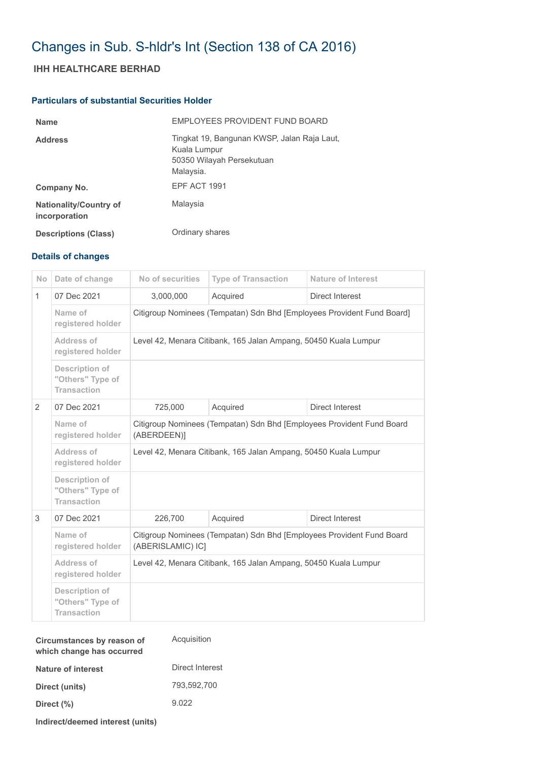# Changes in Sub. S-hldr's Int (Section 138 of CA 2016)

## **IHH HEALTHCARE BERHAD**

### **Particulars of substantial Securities Holder**

| <b>Name</b>                                    | EMPLOYEES PROVIDENT FUND BOARD                                                                        |
|------------------------------------------------|-------------------------------------------------------------------------------------------------------|
| <b>Address</b>                                 | Tingkat 19, Bangunan KWSP, Jalan Raja Laut,<br>Kuala Lumpur<br>50350 Wilayah Persekutuan<br>Malaysia. |
| Company No.                                    | EPF ACT 1991                                                                                          |
| <b>Nationality/Country of</b><br>incorporation | Malaysia                                                                                              |
| <b>Descriptions (Class)</b>                    | Ordinary shares                                                                                       |

#### **Details of changes**

| <b>No</b>      | Date of change                                                  | No of securities                                                                           | <b>Type of Transaction</b> | <b>Nature of Interest</b> |  |
|----------------|-----------------------------------------------------------------|--------------------------------------------------------------------------------------------|----------------------------|---------------------------|--|
| $\mathbf{1}$   | 07 Dec 2021                                                     | 3,000,000                                                                                  | Acquired                   | Direct Interest           |  |
|                | Name of<br>registered holder                                    | Citigroup Nominees (Tempatan) Sdn Bhd [Employees Provident Fund Board]                     |                            |                           |  |
|                | Address of<br>registered holder                                 | Level 42, Menara Citibank, 165 Jalan Ampang, 50450 Kuala Lumpur                            |                            |                           |  |
|                | <b>Description of</b><br>"Others" Type of<br><b>Transaction</b> |                                                                                            |                            |                           |  |
| $\overline{2}$ | 07 Dec 2021                                                     | 725,000                                                                                    | Acquired                   | Direct Interest           |  |
|                | Name of<br>registered holder                                    | Citigroup Nominees (Tempatan) Sdn Bhd [Employees Provident Fund Board<br>(ABERDEEN)]       |                            |                           |  |
|                | Address of<br>registered holder                                 | Level 42, Menara Citibank, 165 Jalan Ampang, 50450 Kuala Lumpur                            |                            |                           |  |
|                | Description of<br>"Others" Type of<br><b>Transaction</b>        |                                                                                            |                            |                           |  |
| 3              | 07 Dec 2021                                                     | 226,700                                                                                    | Acquired                   | Direct Interest           |  |
|                | Name of<br>registered holder                                    | Citigroup Nominees (Tempatan) Sdn Bhd [Employees Provident Fund Board<br>(ABERISLAMIC) IC] |                            |                           |  |
|                | Address of<br>registered holder                                 | Level 42, Menara Citibank, 165 Jalan Ampang, 50450 Kuala Lumpur                            |                            |                           |  |
|                | <b>Description of</b><br>"Others" Type of<br><b>Transaction</b> |                                                                                            |                            |                           |  |

| Circumstances by reason of<br>which change has occurred | Acquisition     |
|---------------------------------------------------------|-----------------|
| Nature of interest                                      | Direct Interest |
| Direct (units)                                          | 793,592,700     |
| Direct (%)                                              | 9.022           |
|                                                         |                 |

**Indirect/deemed interest (units)**